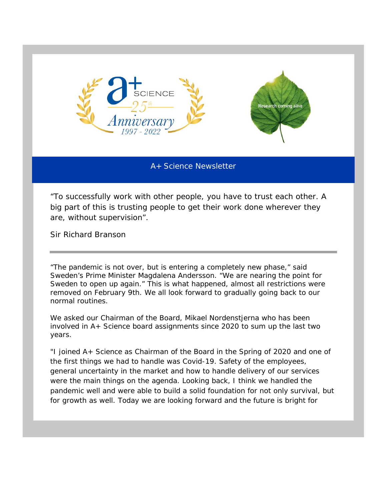

A+ Science Newsletter

"*To successfully work with other people, you have to trust each other. A big part of this is trusting people to get their work done wherever they are, without supervision".*

Sir Richard Branson

"The pandemic is not over, but is entering a completely new phase," said Sweden's Prime Minister Magdalena Andersson. "We are nearing the point for Sweden to open up again." This is what happened, almost all restrictions were removed on February 9th. We all look forward to gradually going back to our normal routines.

We asked our Chairman of the Board, Mikael Nordenstjerna who has been involved in A+ Science board assignments since 2020 to sum up the last two years.

"I joined A+ Science as Chairman of the Board in the Spring of 2020 and one of the first things we had to handle was Covid-19. Safety of the employees, general uncertainty in the market and how to handle delivery of our services were the main things on the agenda. Looking back, I think we handled the pandemic well and were able to build a solid foundation for not only survival, but for growth as well. Today we are looking forward and the future is bright for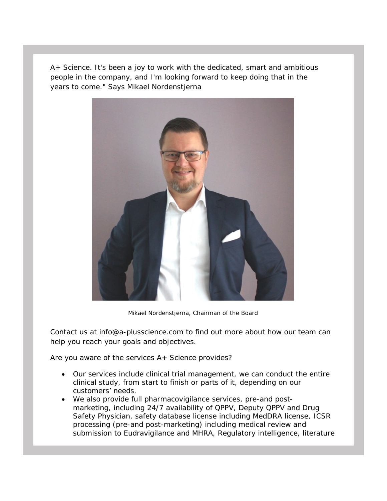A+ Science. It's been a joy to work with the dedicated, smart and ambitious people in the company, and I'm looking forward to keep doing that in the years to come." Says Mikael Nordenstjerna



Mikael Nordenstjerna, Chairman of the Board

Contact us at [info@a-plusscience.com](mailto:info@a-plusscience.com) to find out more about how our team can help you reach your goals and objectives.

Are you aware of the services A+ Science provides?

- Our services include clinical trial management, we can conduct the entire clinical study, from start to finish or parts of it, depending on our customers' needs.
- We also provide full pharmacovigilance services, pre-and postmarketing, including 24/7 availability of QPPV, Deputy QPPV and Drug Safety Physician, safety database license including MedDRA license, ICSR processing (pre-and post-marketing) including medical review and submission to Eudravigilance and MHRA, Regulatory intelligence, literature